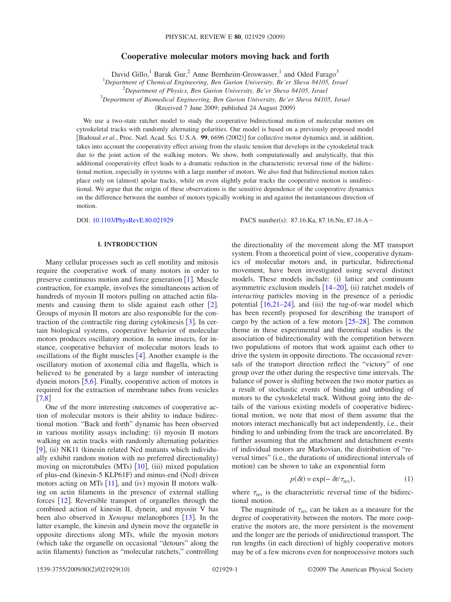## **Cooperative molecular motors moving back and forth**

David Gillo,<sup>1</sup> Barak Gur,<sup>2</sup> Anne Bernheim-Groswasser,<sup>1</sup> and Oded Farago<sup>3</sup>

1 *Department of Chemical Engineering, Ben Gurion University, Be'er Sheva 84105, Israel*

2 *Department of Physics, Ben Gurion University, Be'er Sheva 84105, Israel*

3 *Department of Biomedical Engineering, Ben Gurion University, Be'er Sheva 84105, Israel*

(Received 7 June 2009; published 24 August 2009)

We use a two-state ratchet model to study the cooperative bidirectional motion of molecular motors on cytoskeletal tracks with randomly alternating polarities. Our model is based on a previously proposed model [Badoual *et al.*, Proc. Natl. Acad. Sci. U.S.A. 99, 6696 (2002)] for collective motor dynamics and, in addition, takes into account the cooperativity effect arising from the elastic tension that develops in the cytoskeletal track due to the joint action of the walking motors. We show, both computationally and analytically, that this additional cooperativity effect leads to a dramatic reduction in the characteristic reversal time of the bidirectional motion, especially in systems with a large number of motors. We also find that bidirectional motion takes place only on (almost) apolar tracks, while on even slightly polar tracks the cooperative motion is unidirectional. We argue that the origin of these observations is the sensitive dependence of the cooperative dynamics on the difference between the number of motors typically working in and against the instantaneous direction of motion.

DOI: [10.1103/PhysRevE.80.021929](http://dx.doi.org/10.1103/PhysRevE.80.021929)

PACS number(s): 87.16.Ka, 87.16.Nn, 87.16.A-

# **I. INTRODUCTION**

<span id="page-0-0"></span>Many cellular processes such as cell motility and mitosis require the cooperative work of many motors in order to preserve continuous motion and force generation  $[1]$  $[1]$  $[1]$ . Muscle contraction, for example, involves the simultaneous action of hundreds of myosin II motors pulling on attached actin filaments and causing them to slide against each other  $[2]$  $[2]$  $[2]$ . Groups of myosin II motors are also responsible for the contraction of the contractile ring during cytokinesis  $\lceil 3 \rceil$  $\lceil 3 \rceil$  $\lceil 3 \rceil$ . In certain biological systems, cooperative behavior of molecular motors produces oscillatory motion. In some insects, for instance, cooperative behavior of molecular motors leads to oscillations of the flight muscles  $[4]$  $[4]$  $[4]$ . Another example is the oscillatory motion of axonemal cilia and flagella, which is believed to be generated by a large number of interacting dynein motors  $[5,6]$  $[5,6]$  $[5,6]$  $[5,6]$ . Finally, cooperative action of motors is required for the extraction of membrane tubes from vesicles  $[7,8]$  $[7,8]$  $[7,8]$  $[7,8]$ 

One of the more interesting outcomes of cooperative action of molecular motors is their ability to induce bidirectional motion. "Back and forth" dynamic has been observed in various motility assays including: (i) myosin II motors walking on actin tracks with randomly alternating polarities [[9](#page-8-8)], (ii) NK11 (kinesin related Ncd mutants which individually exhibit random motion with no preferred directionality) moving on microtubules (MTs) [[10](#page-8-9)], (iii) mixed population of plus-end (kinesin-5 KLP61F) and minus-end (Ncd) driven motors acting on MTs  $[11]$  $[11]$  $[11]$ , and (iv) myosin II motors walking on actin filaments in the presence of external stalling forces  $[12]$  $[12]$  $[12]$ . Reversible transport of organelles through the combined action of kinesin II, dynein, and myosin V has been also observed in *Xenopus* melanophores [[13](#page-8-12)]. In the latter example, the kinesin and dynein move the organelle in opposite directions along MTs, while the myosin motors which take the organelle on occasional "detours" along the actin filaments) function as "molecular ratchets," controlling

the directionality of the movement along the MT transport system. From a theoretical point of view, cooperative dynamics of molecular motors and, in particular, bidirectional movement, have been investigated using several distinct models. These models include: (i) lattice and continuum asymmetric exclusion models  $[14-20]$  $[14-20]$  $[14-20]$ , (ii) ratchet models of *interacting* particles moving in the presence of a periodic potential  $[16,21-24]$  $[16,21-24]$  $[16,21-24]$  $[16,21-24]$  $[16,21-24]$ , and (iii) the tug-of-war model which has been recently proposed for describing the transport of cargo by the action of a few motors  $[25-28]$  $[25-28]$  $[25-28]$ . The common theme in these experimental and theoretical studies is the association of bidirectionality with the competition between two populations of motors that work against each other to drive the system in opposite directions. The occasional reversals of the transport direction reflect the "victory" of one group over the other during the respective time intervals. The balance of power is shifting between the two motor parties as a result of stochastic events of binding and unbinding of motors to the cytoskeletal track. Without going into the details of the various existing models of cooperative bidirectional motion, we note that most of them assume that the motors interact mechanically but act independently, i.e., their binding to and unbinding from the track are uncorrelated. By further assuming that the attachment and detachment events of individual motors are Markovian, the distribution of "reversal times" (i.e., the durations of unidirectional intervals of motion) can be shown to take an exponential form

$$
p(\delta t) = \exp(-\delta t/\tau_{\text{rev}}),\tag{1}
$$

<span id="page-0-1"></span>where  $\tau_{\text{rev}}$  is the characteristic reversal time of the bidirectional motion.

The magnitude of  $\tau_{rev}$  can be taken as a measure for the degree of cooperativity between the motors. The more cooperative the motors are, the more persistent is the movement and the longer are the periods of unidirectional transport. The run lengths (in each direction) of highly cooperative motors may be of a few microns even for nonprocessive motors such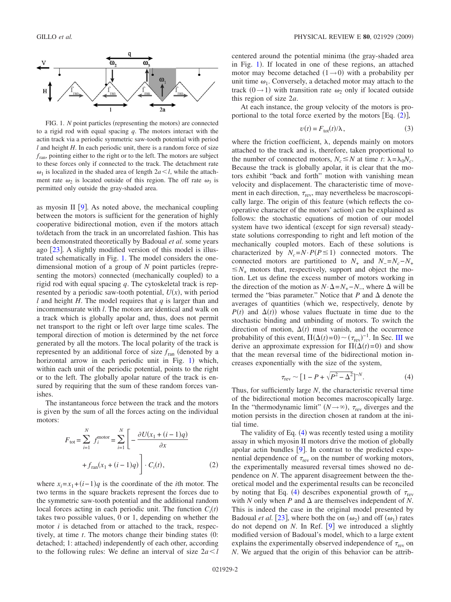<span id="page-1-0"></span>

FIG. 1. *N* point particles (representing the motors) are connected to a rigid rod with equal spacing *q*. The motors interact with the actin track via a periodic symmetric saw-tooth potential with period *l* and height *H*. In each periodic unit, there is a random force of size  $f_{\text{ran}}$ , pointing either to the right or to the left. The motors are subject to these forces only if connected to the track. The detachment rate  $\omega_1$  is localized in the shaded area of length  $2a < l$ , while the attachment rate  $\omega_2$  is located outside of this region. The off rate  $\omega_3$  is permitted only outside the gray-shaded area.

as myosin II  $[9]$  $[9]$  $[9]$ . As noted above, the mechanical coupling between the motors is sufficient for the generation of highly cooperative bidirectional motion, even if the motors attach to/detach from the track in an uncorrelated fashion. This has been demonstrated theoretically by Badoual *et al.* some years ago  $[23]$  $[23]$  $[23]$ . A slightly modified version of this model is illustrated schematically in Fig. [1.](#page-1-0) The model considers the onedimensional motion of a group of *N* point particles (representing the motors) connected (mechanically coupled) to a rigid rod with equal spacing *q*. The cytoskeletal track is represented by a periodic saw-tooth potential,  $U(x)$ , with period *l* and height *H*. The model requires that *q* is larger than and incommensurate with *l*. The motors are identical and walk on a track which is globally apolar and, thus, does not permit net transport to the right or left over large time scales. The temporal direction of motion is determined by the net force generated by all the motors. The local polarity of the track is represented by an additional force of size  $f_{\text{ran}}$  (denoted by a horizontal arrow in each periodic unit in Fig. [1](#page-1-0)) which, within each unit of the periodic potential, points to the right or to the left. The globally apolar nature of the track is ensured by requiring that the sum of these random forces vanishes.

<span id="page-1-1"></span>The instantaneous force between the track and the motors is given by the sum of all the forces acting on the individual motors:

$$
F_{\text{tot}} = \sum_{i=1}^{N} f_i^{\text{motor}} = \sum_{i=1}^{N} \left[ -\frac{\partial U(x_1 + (i-1)q)}{\partial x} + f_{\text{ran}}(x_1 + (i-1)q) \right] \cdot C_i(t),
$$
 (2)

where  $x_i = x_1 + (i-1)q$  is the coordinate of the *i*th motor. The two terms in the square brackets represent the forces due to the symmetric saw-tooth potential and the additional random local forces acting in each periodic unit. The function  $C_i(t)$ takes two possible values, 0 or 1, depending on whether the motor *i* is detached from or attached to the track, respectively, at time *t*. The motors change their binding states (0: detached; 1: attached) independently of each other, according to the following rules: We define an interval of size 2*al*

centered around the potential minima (the gray-shaded area in Fig. [1](#page-1-0)). If located in one of these regions, an attached motor may become detached  $(1\rightarrow 0)$  with a probability per unit time  $\omega_1$ . Conversely, a detached motor may attach to the track  $(0 \rightarrow 1)$  with transition rate  $\omega_2$  only if located outside this region of size 2*a*.

At each instance, the group velocity of the motors is proportional to the total force exerted by the motors  $[Eq. (2)],$  $[Eq. (2)],$  $[Eq. (2)],$ 

$$
v(t) = F_{\text{tot}}(t)/\lambda, \qquad (3)
$$

<span id="page-1-3"></span>where the friction coefficient,  $\lambda$ , depends mainly on motors attached to the track and is, therefore, taken proportional to the number of connected motors,  $N_c \leq N$  at time *t*:  $\lambda = \lambda_0 N_c$ . Because the track is globally apolar, it is clear that the motors exhibit "back and forth" motion with vanishing mean velocity and displacement. The characteristic time of movement in each direction,  $\tau_{\text{rev}}$ , may nevertheless be macroscopically large. The origin of this feature (which reflects the cooperative character of the motors' action) can be explained as follows: the stochastic equations of motion of our model system have two identical (except for sign reversal) steadystate solutions corresponding to right and left motion of the mechanically coupled motors. Each of these solutions is characterized by  $N_c = N \cdot P(P \le 1)$  connected motors. The connected motors are partitioned to  $N_+$  and  $N_- = N_c - N_+$  $\leq N_+$  motors that, respectively, support and object the motion. Let us define the excess number of motors working in the direction of the motion as  $N \cdot \Delta = N_+ - N_-\$ , where  $\Delta$  will be termed the "bias parameter." Notice that  $P$  and  $\Delta$  denote the averages of quantities (which we, respectively, denote by  $P(t)$  and  $\Delta(t)$ ) whose values fluctuate in time due to the stochastic binding and unbinding of motors. To switch the direction of motion,  $\Delta(t)$  must vanish, and the occurrence probability of this event,  $\Pi(\Delta(t)=0) \sim (\tau_{\text{rev}})^{-1}$ . In Sec. [III](#page-4-0) we derive an approximate expression for  $\Pi(\Delta(t)=0)$  and show that the mean reversal time of the bidirectional motion increases exponentially with the size of the system,

$$
\tau_{\rm rev} \sim [1 - P + \sqrt{P^2 - \Delta^2}]^{-N}.
$$
 (4)

<span id="page-1-2"></span>Thus, for sufficiently large *N*, the characteristic reversal time of the bidirectional motion becomes macroscopically large. In the "thermodynamic limit"  $(N \rightarrow \infty)$ ,  $\tau_{rev}$  diverges and the motion persists in the direction chosen at random at the initial time.

The validity of Eq. ([4](#page-1-2)) was recently tested using a motility assay in which myosin II motors drive the motion of globally apolar actin bundles  $[9]$  $[9]$  $[9]$ . In contrast to the predicted exponential dependence of  $\tau_{\text{rev}}$  on the number of working motors, the experimentally measured reversal times showed no dependence on *N*. The apparent disagreement between the theoretical model and the experimental results can be reconciled by noting that Eq. ([4](#page-1-2)) describes exponential growth of  $\tau_{\text{rev}}$ with *N* only when *P* and  $\Delta$  are themselves independent of *N*. This is indeed the case in the original model presented by Badoual *et al.* [[23](#page-8-19)], where both the on  $(\omega_2)$  and off  $(\omega_1)$  rates do not depend on  $N$ . In Ref.  $[9]$  $[9]$  $[9]$  we introduced a slightly modified version of Badoual's model, which to a large extent explains the experimentally observed independence of  $\tau_{\text{rev}}$  on *N*. We argued that the origin of this behavior can be attrib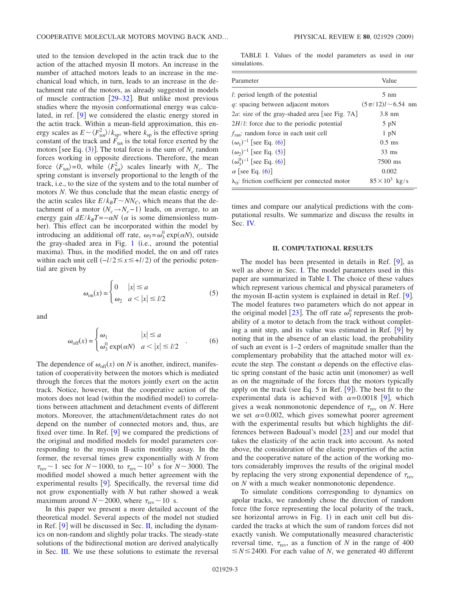uted to the tension developed in the actin track due to the action of the attached myosin II motors. An increase in the number of attached motors leads to an increase in the mechanical load which, in turn, leads to an increase in the detachment rate of the motors, as already suggested in models of muscle contraction  $[29-32]$  $[29-32]$  $[29-32]$ . But unlike most previous studies where the myosin conformational energy was calculated, in ref.  $[9]$  $[9]$  $[9]$  we considered the elastic energy stored in the actin track. Within a mean-field approximation, this energy scales as  $E \sim \langle F_{\text{tot}}^2 \rangle / k_{\text{sp}}$ , where  $k_{\text{sp}}$  is the effective spring constant of the track and  $F_{\text{tot}}$  is the total force exerted by the motors [see Eq.  $(3)$  $(3)$  $(3)$ ]. The total force is the sum of  $N_c$  random forces working in opposite directions. Therefore, the mean force  $\langle F_{\text{tot}} \rangle = 0$ , while  $\langle F_{\text{tot}}^2 \rangle$  scales linearly with  $N_c$ . The spring constant is inversely proportional to the length of the track, i.e., to the size of the system and to the total number of motors *N*. We thus conclude that the mean elastic energy of the actin scales like  $E/k_BT \sim NN_C$ , which means that the detachment of a motor  $(N_c \rightarrow N_c - 1)$  leads, on average, to an energy gain  $dE/k_BT = -\alpha N$  ( $\alpha$  is some dimensionless number). This effect can be incorporated within the model by introducing an additional off rate,  $\omega_3 = \omega_3^0 \exp(\alpha N)$ , outside the gray-shaded area in Fig.  $1$  (i.e., around the potential maxima). Thus, in the modified model, the on and off rates within each unit cell  $\left(-\frac{l}{2} \leq x \leq +\frac{l}{2}\right)$  of the periodic potential are given by

<span id="page-2-3"></span><span id="page-2-2"></span>and

$$
\omega_{\text{on}}(x) = \begin{cases} 0 & |x| \le a \\ \omega_2 & a < |x| \le l/2 \end{cases} \tag{5}
$$

$$
\omega_{\text{off}}(x) = \begin{cases} \omega_1 & |x| \le a \\ \omega_3^0 \exp(\alpha N) & a < |x| \le l/2 \end{cases}
$$
 (6)

The dependence of  $\omega_{\text{off}}(x)$  on *N* is another, indirect, manifestation of cooperativity between the motors which is mediated through the forces that the motors jointly exert on the actin track. Notice, however, that the cooperative action of the motors does not lead (within the modified model) to correlations between attachment and detachment events of different motors. Moreover, the attachment/detachment rates do not depend on the number of connected motors and, thus, are fixed over time. In Ref.  $[9]$  $[9]$  $[9]$  we compared the predictions of the original and modified models for model parameters corresponding to the myosin II-actin motility assay. In the former, the reversal times grew exponentially with *N* from  $\tau_{\text{rev}}$  ~ 1 sec for *N* ~ 1000, to  $\tau_{\text{rev}}$  ~ 10<sup>3</sup> s for *N* ~ 3000. The modified model showed a much better agreement with the experimental results  $[9]$  $[9]$  $[9]$ . Specifically, the reversal time did not grow exponentially with *N* but rather showed a weak maximum around  $N \sim 2000$ , where  $\tau_{\text{rev}} \sim 10 \text{ s.}$ 

In this paper we present a more detailed account of the theoretical model. Several aspects of the model not studied in Ref.  $[9]$  $[9]$  $[9]$  will be discussed in Sec. [II,](#page-2-0) including the dynamics on non-random and slightly polar tracks. The steady-state solutions of the bidirectional motion are derived analytically in Sec. [III.](#page-4-0) We use these solutions to estimate the reversal

<span id="page-2-1"></span>TABLE I. Values of the model parameters as used in our simulations.

| Parameter                                               | Value                   |
|---------------------------------------------------------|-------------------------|
| l: period length of the potential                       | $5 \text{ nm}$          |
| q: spacing between adjacent motors                      | $(5\pi/12)$ l ~ 6.54 nm |
| 2 <i>a</i> : size of the gray-shaded area [see Fig. 7A] | $3.8 \text{ nm}$        |
| $2H/l$ : force due to the periodic potential            | $5$ pN                  |
| $f_{\text{ran}}$ : random force in each unit cell       | 1 pN                    |
| $(\omega_1)^{-1}$ [see Eq. (6)]                         | $0.5$ ms                |
| $(\omega_2)^{-1}$ [see Eq. (5)]                         | $33 \text{ ms}$         |
| $(\omega_3^0)^{-1}$ [see Eq. (6)]                       | 7500 ms                 |
| $\alpha$ [see Eq. (6)]                                  | 0.002                   |
| $\lambda_0$ : friction coefficient per connected motor  | $85 \times 10^3$ kg/s   |

times and compare our analytical predictions with the computational results. We summarize and discuss the results in Sec. [IV.](#page-7-0)

#### **II. COMPUTATIONAL RESULTS**

<span id="page-2-0"></span>The model has been presented in details in Ref. [[9](#page-8-8)], as well as above in Sec. [I.](#page-0-0) The model parameters used in this paper are summarized in Table [I.](#page-2-1) The choice of these values which represent various chemical and physical parameters of the myosin II-actin system is explained in detail in Ref.  $[9]$  $[9]$  $[9]$ . The model features two parameters which do not appear in the original model [[23](#page-8-19)]. The off rate  $\omega_3^0$  represents the probability of a motor to detach from the track without completing a unit step, and its value was estimated in Ref.  $[9]$  $[9]$  $[9]$  by noting that in the absence of an elastic load, the probability of such an event is 1–2 orders of magnitude smaller than the complementary probability that the attached motor will execute the step. The constant  $\alpha$  depends on the effective elastic spring constant of the basic actin unit (monomer) as well as on the magnitude of the forces that the motors typically apply on the track (see Eq. 5 in Ref.  $[9]$  $[9]$  $[9]$ ). The best fit to the experimental data is achieved with  $\alpha = 0.0018$  [[9](#page-8-8)], which gives a weak nonmonotonic dependence of  $\tau_{\text{rev}}$  on *N*. Here we set  $\alpha = 0.002$ , which gives somewhat poorer agreement with the experimental results but which highlights the differences between Badoual's model  $\lceil 23 \rceil$  $\lceil 23 \rceil$  $\lceil 23 \rceil$  and our model that takes the elasticity of the actin track into account. As noted above, the consideration of the elastic properties of the actin and the cooperative nature of the action of the working motors considerably improves the results of the original model by replacing the very strong exponential dependence of  $\tau_{\text{rev}}$ on *N* with a much weaker nonmonotonic dependence.

To simulate conditions corresponding to dynamics on apolar tracks, we randomly chose the direction of random force (the force representing the local polarity of the track, see horizontal arrows in Fig.  $1$ ) in each unit cell but discarded the tracks at which the sum of random forces did not exactly vanish. We computationally measured characteristic reversal time,  $\tau_{\text{rev}}$ , as a function of *N* in the range of 400  $\leq N \leq 2400$ . For each value of *N*, we generated 40 different

 $(5)$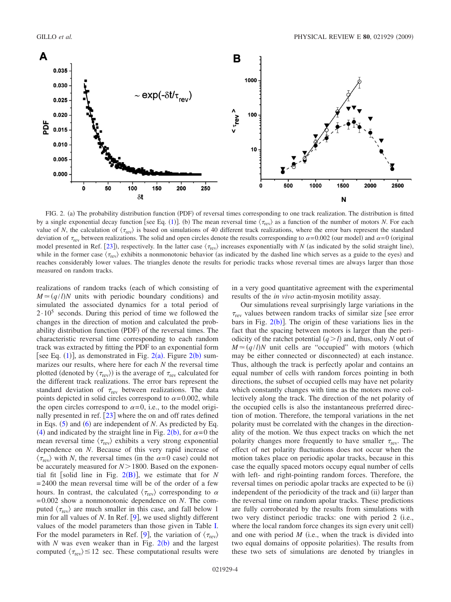<span id="page-3-0"></span>

FIG. 2. (a) The probability distribution function (PDF) of reversal times corresponding to one track realization. The distribution is fitted by a single exponential decay function [see Eq. ([1](#page-0-1))]. (b) The mean reversal time  $\langle \tau_{\rm rev} \rangle$  as a function of the number of motors *N*. For each value of *N*, the calculation of  $\langle \tau_{\rm rev} \rangle$  is based on simulations of 40 different track realizations, where the error bars represent the standard deviation of  $\tau_{\text{rev}}$  between realizations. The solid and open circles denote the results corresponding to  $\alpha = 0.002$  (our model) and  $\alpha = 0$  (original model presented in Ref. [[23](#page-8-19)]), respectively. In the latter case  $\langle \tau_{\rm rev} \rangle$  increases exponentially with *N* (as indicated by the solid straight line), while in the former case  $\langle \tau_{\rm rev} \rangle$  exhibits a nonmonotonic behavior (as indicated by the dashed line which serves as a guide to the eyes) and reaches considerably lower values. The triangles denote the results for periodic tracks whose reversal times are always larger than those measured on random tracks.

realizations of random tracks (each of which consisting of  $M \approx (q/l)N$  units with periodic boundary conditions) and simulated the associated dynamics for a total period of  $2 \cdot 10^5$  seconds. During this period of time we followed the changes in the direction of motion and calculated the probability distribution function (PDF) of the reversal times. The characteristic reversal time corresponding to each random track was extracted by fitting the PDF to an exponential form [see Eq.  $(1)$  $(1)$  $(1)$ ], as demonstrated in Fig.  $2(a)$  $2(a)$ . Figure  $2(b)$  summarizes our results, where here for each *N* the reversal time plotted (denoted by  $\langle \tau_{\rm rev} \rangle$ ) is the average of  $\tau_{\rm rev}$  calculated for the different track realizations. The error bars represent the standard deviation of  $\tau_{\text{rev}}$  between realizations. The data points depicted in solid circles correspond to  $\alpha = 0.002$ , while the open circles correspond to  $\alpha = 0$ , i.e., to the model originally presented in ref.  $[23]$  $[23]$  $[23]$  where the on and off rates defined in Eqs.  $(5)$  $(5)$  $(5)$  and  $(6)$  $(6)$  $(6)$  are independent of *N*. As predicted by Eq. ([4](#page-1-2)) and indicated by the straight line in Fig. [2](#page-3-0)(b), for  $\alpha = 0$  the mean reversal time  $\langle \tau_{\rm rev} \rangle$  exhibits a very strong exponential dependence on *N*. Because of this very rapid increase of  $\langle \tau_{\text{rev}} \rangle$  with *N*, the reversal times (in the  $\alpha = 0$  case) could not be accurately measured for  $N > 1800$ . Based on the exponential fit [solid line in Fig.  $2(B)$  $2(B)$  $2(B)$ ], we estimate that for *N*  $= 2400$  the mean reversal time will be of the order of a few hours. In contrast, the calculated  $\langle \tau_{\rm rev} \rangle$  corresponding to  $\alpha$ = 0.002 show a nonmonotonic dependence on *N*. The computed  $\langle \tau_{\rm rev} \rangle$  are much smaller in this case, and fall below 1 min for all values of  $N$ . In Ref.  $[9]$  $[9]$  $[9]$ , we used slightly different values of the model parameters than those given in Table [I.](#page-2-1) For the model parameters in Ref. [[9](#page-8-8)], the variation of  $\langle \tau_{rev} \rangle$ with  $N$  was even weaker than in Fig.  $2(b)$  $2(b)$  and the largest computed  $\langle \tau_{\text{rev}} \rangle \le 12$  sec. These computational results were

in a very good quantitative agreement with the experimental results of the *in vivo* actin-myosin motility assay.

Our simulations reveal surprisingly large variations in the  $\tau_{\text{rev}}$  values between random tracks of similar size [see error bars in Fig.  $2(b)$  $2(b)$ ]. The origin of these variations lies in the fact that the spacing between motors is larger than the periodicity of the ratchet potential  $(q > l)$  and, thus, only *N* out of  $M \approx (q/l)N$  unit cells are "occupied" with motors (which may be either connected or disconnected) at each instance. Thus, although the track is perfectly apolar and contains an equal number of cells with random forces pointing in both directions, the subset of occupied cells may have net polarity which constantly changes with time as the motors move collectively along the track. The direction of the net polarity of the occupied cells is also the instantaneous preferred direction of motion. Therefore, the temporal variations in the net polarity must be correlated with the changes in the directionality of the motion. We thus expect tracks on which the net polarity changes more frequently to have smaller  $\tau_{\text{rev}}$ . The effect of net polarity fluctuations does not occur when the motion takes place on periodic apolar tracks, because in this case the equally spaced motors occupy equal number of cells with left- and right-pointing random forces. Therefore, the reversal times on periodic apolar tracks are expected to be (i) independent of the periodicity of the track and (ii) larger than the reversal time on random apolar tracks. These predictions are fully corroborated by the results from simulations with two very distinct periodic tracks: one with period 2 (i.e., where the local random force changes its sign every unit cell) and one with period  $M$  (i.e., when the track is divided into two equal domains of opposite polarities). The results from these two sets of simulations are denoted by triangles in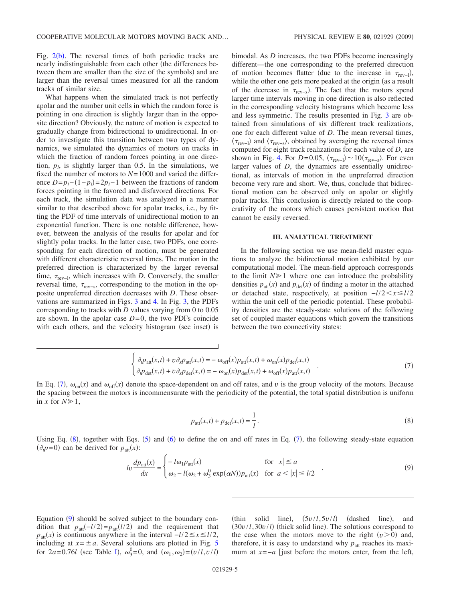Fig.  $2(b)$  $2(b)$ . The reversal times of both periodic tracks are nearly indistinguishable from each other (the differences between them are smaller than the size of the symbols) and are larger than the reversal times measured for all the random tracks of similar size.

What happens when the simulated track is not perfectly apolar and the number unit cells in which the random force is pointing in one direction is slightly larger than in the opposite direction? Obviously, the nature of motion is expected to gradually change from bidirectional to unidirectional. In order to investigate this transition between two types of dynamics, we simulated the dynamics of motors on tracks in which the fraction of random forces pointing in one direction,  $p_l$ , is slightly larger than 0.5. In the simulations, we fixed the number of motors to *N*= 1000 and varied the difference  $D=p_l-(1-p_l)=2p_l-1$  between the fractions of random forces pointing in the favored and disfavored directions. For each track, the simulation data was analyzed in a manner similar to that described above for apolar tracks, i.e., by fitting the PDF of time intervals of unidirectional motion to an exponential function. There is one notable difference, however, between the analysis of the results for apolar and for slightly polar tracks. In the latter case, two PDFs, one corresponding for each direction of motion, must be generated with different characteristic reversal times. The motion in the preferred direction is characterized by the larger reversal time,  $\tau_{\text{rev}-l}$ , which increases with *D*. Conversely, the smaller reversal time,  $\tau_{rev-s}$ , corresponding to the motion in the opposite unpreferred direction decreases with *D*. These observations are summarized in Figs. [3](#page-5-0) and [4.](#page-6-0) In Fig. [3,](#page-5-0) the PDFs corresponding to tracks with *D* values varying from 0 to 0.05 are shown. In the apolar case  $D=0$ , the two PDFs coincide with each others, and the velocity histogram (see inset) is

bimodal. As *D* increases, the two PDFs become increasingly different—the one corresponding to the preferred direction of motion becomes flatter (due to the increase in  $\tau_{\text{rev}-l}$ ), while the other one gets more peaked at the origin (as a result of the decrease in  $\tau_{rev-s}$ ). The fact that the motors spend larger time intervals moving in one direction is also reflected in the corresponding velocity histograms which become less and less symmetric. The results presented in Fig. [3](#page-5-0) are obtained from simulations of six different track realizations, one for each different value of *D*. The mean reversal times,  $\langle \tau_{\text{rev}-l} \rangle$  and  $\langle \tau_{\text{rev}-s} \rangle$ , obtained by averaging the reversal times computed for eight track realizations for each value of *D*, are shown in Fig. [4.](#page-6-0) For  $D=0.05$ ,  $\langle \tau_{rev-I} \rangle \sim 10 \langle \tau_{rev-s} \rangle$ . For even larger values of *D*, the dynamics are essentially unidirectional, as intervals of motion in the unpreferred direction become very rare and short. We, thus, conclude that bidirectional motion can be observed only on apolar or slightly polar tracks. This conclusion is directly related to the cooperativity of the motors which causes persistent motion that cannot be easily reversed.

#### **III. ANALYTICAL TREATMENT**

<span id="page-4-0"></span>In the following section we use mean-field master equations to analyze the bidirectional motion exhibited by our computational model. The mean-field approach corresponds to the limit  $N \geq 1$  where one can introduce the probability densities  $p_{\text{att}}(x)$  and  $p_{\text{det}}(x)$  of finding a motor in the attached or detached state, respectively, at position −*l*/2*xl*/2 within the unit cell of the periodic potential. These probability densities are the steady-state solutions of the following set of coupled master equations which govern the transitions between the two connectivity states:

$$
\begin{cases}\n\partial_t p_{\text{att}}(x,t) + v \partial_x p_{\text{att}}(x,t) = -\omega_{\text{off}}(x) p_{\text{att}}(x,t) + \omega_{\text{on}}(x) p_{\text{det}}(x,t) \\
\partial_t p_{\text{det}}(x,t) + v \partial_x p_{\text{det}}(x,t) = -\omega_{\text{on}}(x) p_{\text{det}}(x,t) + \omega_{\text{off}}(x) p_{\text{att}}(x,t)\n\end{cases} (7)
$$

<span id="page-4-1"></span>In Eq. ([7](#page-4-1)),  $\omega_{on}(x)$  and  $\omega_{off}(x)$  denote the space-dependent on and off rates, and *v* is the group velocity of the motors. Because the spacing between the motors is incommensurate with the periodicity of the potential, the total spatial distribution is uniform in *x* for  $N \ge 1$ ,

$$
p_{\text{att}}(x,t) + p_{\text{det}}(x,t) = \frac{1}{l}.
$$
\n(8)

<span id="page-4-3"></span><span id="page-4-2"></span>Using Eq.  $(8)$  $(8)$  $(8)$ , together with Eqs.  $(5)$  $(5)$  $(5)$  and  $(6)$  $(6)$  $(6)$  to define the on and off rates in Eq.  $(7)$  $(7)$  $(7)$ , the following steady-state equation  $(\partial_t p = 0)$  can be derived for  $p_{\text{att}}(x)$ :

$$
lv\frac{dp_{\text{att}}(x)}{dx} = \begin{cases} -\log_{1} p_{\text{att}}(x) & \text{for } |x| \le a\\ \omega_{2} - l(\omega_{2} + \omega_{3}^{0} \exp(\alpha N))p_{\text{att}}(x) & \text{for } a < |x| \le l/2 \end{cases}
$$
(9)

Equation ([9](#page-4-3)) should be solved subject to the boundary condition that  $p_{\text{att}}(-l/2) = p_{\text{att}}(l/2)$  and the requirement that  $p_{\text{att}}(x)$  is continuous anywhere in the interval  $-l/2 \leq x \leq l/2$ , including at  $x = \pm a$ . Several solutions are plotted in Fig. [5](#page-6-1) for  $2a = 0.76l$  (see Table [I](#page-2-1)),  $\omega_3^0 = 0$ , and  $(\omega_1, \omega_2) = (v/l, v/l)$ 

 $(t\text{hin} \quad \text{solid} \quad \text{line}), \quad (5v/l, 5v/l)$ (dashed line), and  $(30v/l, 30v/l)$  (thick solid line). The solutions correspond to the case when the motors move to the right  $(v>0)$  and, therefore, it is easy to understand why  $p_{\text{att}}$  reaches its maximum at  $x = -a$  [just before the motors enter, from the left,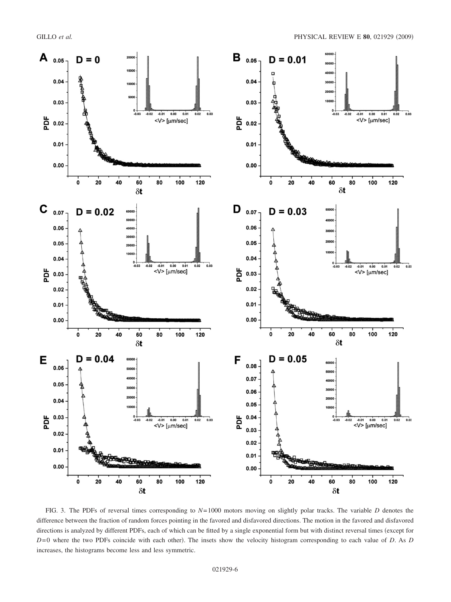<span id="page-5-0"></span>

FIG. 3. The PDFs of reversal times corresponding to *N*= 1000 motors moving on slightly polar tracks. The variable *D* denotes the difference between the fraction of random forces pointing in the favored and disfavored directions. The motion in the favored and disfavored directions is analyzed by different PDFs, each of which can be fitted by a single exponential form but with distinct reversal times (except for  $D=0$  where the two PDFs coincide with each other). The insets show the velocity histogram corresponding to each value of *D*. As *D* increases, the histograms become less and less symmetric.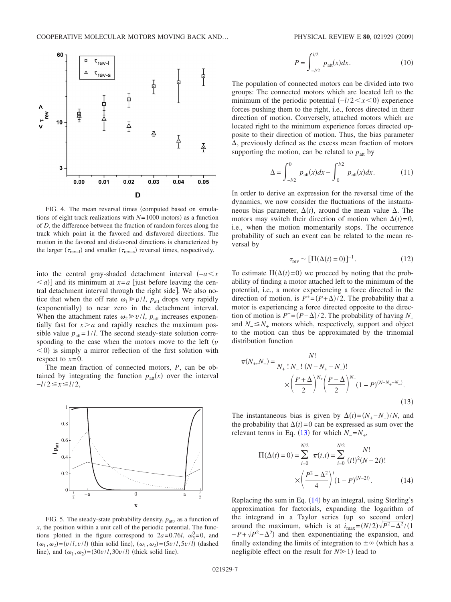<span id="page-6-0"></span>

FIG. 4. The mean reversal times (computed based on simulations of eight track realizations with  $N=1000$  motors) as a function of *D*, the difference between the fraction of random forces along the track which point in the favored and disfavored directions. The motion in the favored and disfavored directions is characterized by the larger  $(\tau_{rev-1})$  and smaller  $(\tau_{rev-s})$  reversal times, respectively.

into the central gray-shaded detachment interval −*ax*  $\leq a$ ] and its minimum at  $x = a$  [just before leaving the central detachment interval through the right side. We also notice that when the off rate  $\omega_1 \ge v/l$ ,  $p_{\text{att}}$  drops very rapidly (exponentially) to near zero in the detachment interval. When the attachment rates  $\omega_2 \gg v/l$ ,  $p_{\text{att}}$  increases exponentially fast for  $x > a$  and rapidly reaches the maximum possible value  $p_{\text{att}} = 1/l$ . The second steady-state solution corresponding to the case when the motors move to the left  $(v<sub>i</sub>)$  $(0, 0)$  is simply a mirror reflection of the first solution with respect to  $x=0$ .

The mean fraction of connected motors, *P*, can be obtained by integrating the function  $p_{\text{att}}(x)$  over the interval −*l*/2*xl*/2,

<span id="page-6-1"></span>

FIG. 5. The steady-state probability density,  $p_{\text{att}}$ , as a function of *x*, the position within a unit cell of the periodic potential. The functions plotted in the figure correspond to  $2a=0.76l$ ,  $\omega_3^0=0$ , and  $(\omega_1, \omega_2) = (v/l, v/l)$  (thin solid line),  $(\omega_1, \omega_2) = (5v/l, 5v/l)$  (dashed line), and  $(\omega_1, \omega_2) = (30v/l, 30v/l)$  (thick solid line).

$$
P = \int_{-l/2}^{l/2} p_{\text{att}}(x) dx.
$$
 (10)

<span id="page-6-4"></span>The population of connected motors can be divided into two groups: The connected motors which are located left to the minimum of the periodic potential  $(-1/2 < x < 0)$  experience forces pushing them to the right, i.e., forces directed in their direction of motion. Conversely, attached motors which are located right to the minimum experience forces directed opposite to their direction of motion. Thus, the bias parameter  $\Delta$ , previously defined as the excess mean fraction of motors supporting the motion, can be related to  $p_{\text{att}}$  by

$$
\Delta = \int_{-l/2}^{0} p_{\text{att}}(x) dx - \int_{0}^{l/2} p_{\text{att}}(x) dx.
$$
 (11)

<span id="page-6-5"></span>In order to derive an expression for the reversal time of the dynamics, we now consider the fluctuations of the instantaneous bias parameter,  $\Delta(t)$ , around the mean value  $\Delta$ . The motors may switch their direction of motion when  $\Delta(t) = 0$ , i.e., when the motion momentarily stops. The occurrence probability of such an event can be related to the mean reversal by

$$
\tau_{\text{rev}} \sim [\Pi(\Delta(t) = 0)]^{-1}.
$$
 (12)

To estimate  $\Pi(\Delta(t)=0)$  we proceed by noting that the probability of finding a motor attached left to the minimum of the potential, i.e., a motor experiencing a force directed in the direction of motion, is  $P^+ = (P + \Delta)/2$ . The probability that a motor is experiencing a force directed opposite to the direction of motion is  $P^{-} = (P - \Delta)/2$ . The probability of having  $N_{+}$ and  $N_$ <sup> $\leq N_+$ </sup> motors which, respectively, support and object to the motion can thus be approximated by the trinomial distribution function

<span id="page-6-2"></span>
$$
\pi(N_{+}, N_{-}) = \frac{N!}{N_{+}! N_{-}! (N - N_{+} - N_{-})!} \times \left(\frac{P + \Delta}{2}\right)^{N_{+}} \left(\frac{P - \Delta}{2}\right)^{N_{-}} (1 - P)^{(N - N_{+} - N_{-})}.
$$
\n(13)

The instantaneous bias is given by  $\Delta(t) = (N_+ - N_-)/N$ , and the probability that  $\Delta(t) = 0$  can be expressed as sum over the relevant terms in Eq. ([13](#page-6-2)) for which  $N = N_+$ ,

<span id="page-6-3"></span>
$$
\Pi(\Delta(t) = 0) = \sum_{i=0}^{N/2} \pi(i, i) = \sum_{i=0}^{N/2} \frac{N!}{(i!)^2 (N - 2i)!}
$$

$$
\times \left(\frac{P^2 - \Delta^2}{4}\right)^i (1 - P)^{(N - 2i)}.
$$
(14)

Replacing the sum in Eq.  $(14)$  $(14)$  $(14)$  by an integral, using Sterling's approximation for factorials, expanding the logarithm of the integrand in a Taylor series (up so second order) around the maximum, which is at  $i_{\text{max}} = (N/2)\sqrt{P^2 - \Delta^2}/(1)$  $-P+\sqrt{P^2-\Delta^2}$  and then exponentiating the expansion, and finally extending the limits of integration to  $\pm \infty$  (which has a negligible effect on the result for  $N \ge 1$ ) lead to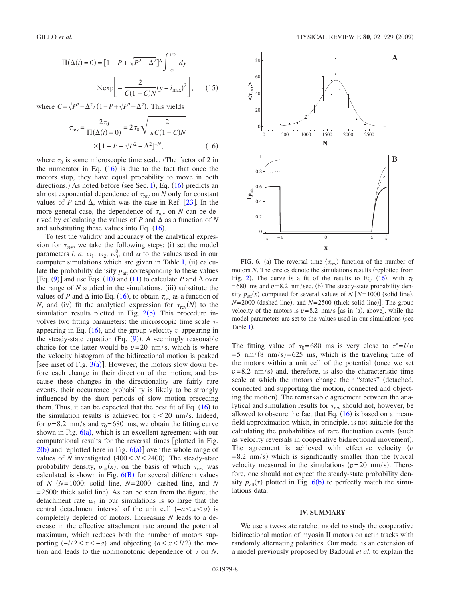$$
\Pi(\Delta(t) = 0) = \left[1 - P + \sqrt{P^2 - \Delta^2}\right]^N \int_{-\infty}^{+\infty} dy
$$

$$
\times \exp\left[-\frac{2}{C(1 - C)N}(y - i_{\text{max}})^2\right], \quad (15)
$$

<span id="page-7-1"></span>where  $C = \sqrt{P^2 - \Delta^2}/(1 - P + \sqrt{P^2 - \Delta^2})$ . This yields

$$
\tau_{rev} = \frac{2\tau_0}{\Pi(\Delta(t) = 0)} = 2\tau_0 \sqrt{\frac{2}{\pi C (1 - C)N}}
$$

$$
\times [1 - P + \sqrt{P^2 - \Delta^2}]^{-N}, \qquad (16)
$$

where  $\tau_0$  is some microscopic time scale. (The factor of 2 in the numerator in Eq.  $(16)$  $(16)$  $(16)$  is due to the fact that once the motors stop, they have equal probability to move in both directions.) As noted before (see Sec. [I](#page-0-0)), Eq.  $(16)$  $(16)$  $(16)$  predicts an almost exponential dependence of  $\tau_{\text{rev}}$  on *N* only for constant values of *P* and  $\Delta$ , which was the case in Ref. [[23](#page-8-19)]. In the more general case, the dependence of  $\tau_{\text{rev}}$  on *N* can be derived by calculating the values of  $P$  and  $\Delta$  as a function of  $N$ and substituting these values into Eq.  $(16)$  $(16)$  $(16)$ .

To test the validity and accuracy of the analytical expression for  $\tau_{\text{rev}}$ , we take the following steps: (i) set the model parameters *l*, *a*,  $\omega_1$ ,  $\omega_2$ ,  $\omega_3^0$ , and  $\alpha$  to the values used in our computer simulations which are given in Table [I,](#page-2-1)  $(ii)$  calculate the probability density  $p_{\text{att}}$  corresponding to these values [Eq.  $(9)$  $(9)$  $(9)$ ] and use Eqs.  $(10)$  $(10)$  $(10)$  and  $(11)$  $(11)$  $(11)$  to calculate *P* and  $\Delta$  over the range of  $N$  studied in the simulations, (iii) substitute the values of *P* and  $\Delta$  into Eq. ([16](#page-7-1)), to obtain  $\tau_{\text{rev}}$  as a function of *N*, and (iv) fit the analytical expression for  $\tau_{rev}(N)$  to the simulation results plotted in Fig.  $2(b)$  $2(b)$ . This procedure involves two fitting parameters: the microscopic time scale  $\tau_0$ appearing in Eq.  $(16)$  $(16)$  $(16)$ , and the group velocity  $v$  appearing in the steady-state equation  $(Eq. (9))$  $(Eq. (9))$  $(Eq. (9))$ . A seemingly reasonable choice for the latter would be  $v=20$  nm/s, which is where the velocity histogram of the bidirectional motion is peaked [see inset of Fig.  $3(a)$  $3(a)$ ]. However, the motors slow down before each change in their direction of the motion; and because these changes in the directionality are fairly rare events, their occurrence probability is likely to be strongly influenced by the short periods of slow motion preceding them. Thus, it can be expected that the best fit of Eq.  $(16)$  $(16)$  $(16)$  to the simulation results is achieved for  $v < 20$  nm/s. Indeed, for  $v = 8.2$  nm/s and  $\tau_0 = 680$  ms, we obtain the fitting curve shown in Fig.  $6(a)$  $6(a)$ , which is an excellent agreement with our computational results for the reversal times [plotted in Fig.  $2(b)$  $2(b)$  and replotted here in Fig.  $6(a)$  $6(a)$ ] over the whole range of values of  $N$  investigated  $(400 < N < 2400)$ . The steady-state probability density,  $p_{\text{att}}(x)$ , on the basis of which  $\tau_{\text{rev}}$  was calculated is shown in Fig.  $6(B)$  $6(B)$  $6(B)$  for several different values of *N N*= 1000: solid line, *N*= 2000: dashed line, and *N*  $= 2500$ : thick solid line). As can be seen from the figure, the detachment rate  $\omega_1$  in our simulations is so large that the central detachment interval of the unit cell  $(-a < x < a)$  is completely depleted of motors. Increasing *N* leads to a decrease in the effective attachment rate around the potential maximum, which reduces both the number of motors supporting  $(-1/2 < x < -a)$  and objecting  $(a < x < 1/2)$  the motion and leads to the nonmonotonic dependence of  $\tau$  on *N*.

<span id="page-7-2"></span>

FIG. 6. (a) The reversal time  $\langle \tau_{\rm rev} \rangle$  function of the number of motors *N*. The circles denote the simulations results (replotted from Fig. [2](#page-3-0)). The curve is a fit of the results to Eq. ([16](#page-7-1)), with  $\tau_0$  $= 680$  ms and  $v = 8.2$  nm/sec. (b) The steady-state probability density  $p_{\text{att}}(x)$  computed for several values of  $N$  [ $N=1000$  (solid line),  $N=2000$  (dashed line), and  $N=2500$  (thick solid line)]. The group velocity of the motors is  $v = 8.2$  nm/s [as in (a), above], while the model parameters are set to the values used in our simulations (see Table **[I](#page-2-1)**).

The fitting value of  $\tau_0 = 680$  ms is very close to  $\tau^* = l/v$  $= 5$  nm/ $(8 \text{ nm/s}) = 625$  ms, which is the traveling time of the motors within a unit cell of the potential (once we set  $v = 8.2$  nm/s) and, therefore, is also the characteristic time scale at which the motors change their "states" detached, connected and supporting the motion, connected and objecting the motion). The remarkable agreement between the analytical and simulation results for  $\tau_{\text{rev}}$  should not, however, be allowed to obscure the fact that Eq.  $(16)$  $(16)$  $(16)$  is based on a meanfield approximation which, in principle, is not suitable for the calculating the probabilities of rare fluctuation events (such as velocity reversals in cooperative bidirectional movement). The agreement is achieved with effective velocity  $(v$  $= 8.2$  nm/s) which is significantly smaller than the typical velocity measured in the simulations  $(v=20 \text{ nm/s})$ . Therefore, one should not expect the steady-state probability density  $p_{\text{att}}(x)$  plotted in Fig. [6](#page-7-2)(b) to perfectly match the simulations data.

#### **IV. SUMMARY**

<span id="page-7-0"></span>We use a two-state ratchet model to study the cooperative bidirectional motion of myosin II motors on actin tracks with randomly alternating polarities. Our model is an extension of a model previously proposed by Badoual *et al.* to explain the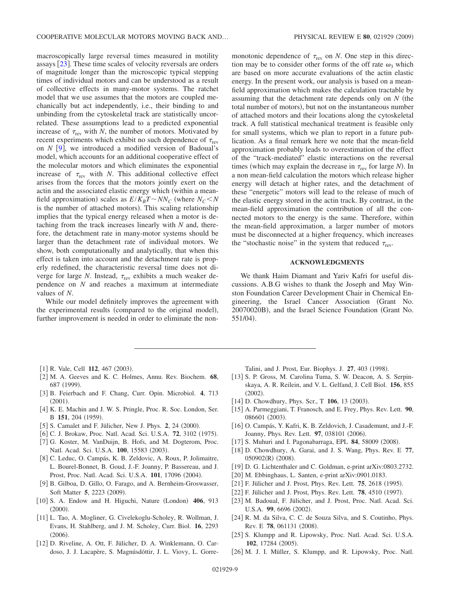macroscopically large reversal times measured in motility assays  $\lceil 23 \rceil$  $\lceil 23 \rceil$  $\lceil 23 \rceil$ . These time scales of velocity reversals are orders of magnitude longer than the microscopic typical stepping times of individual motors and can be understood as a result of collective effects in many-motor systems. The ratchet model that we use assumes that the motors are coupled mechanically but act independently, i.e., their binding to and unbinding from the cytoskeletal track are statistically uncorrelated. These assumptions lead to a predicted exponential increase of  $\tau_{\text{rev}}$  with *N*, the number of motors. Motivated by recent experiments which exhibit no such dependence of  $\tau_{\text{rev}}$ on  $N$  [[9](#page-8-8)], we introduced a modified version of Badoual's model, which accounts for an additional cooperative effect of the molecular motors and which eliminates the exponential increase of  $\tau_{rev}$  with *N*. This additional collective effect arises from the forces that the motors jointly exert on the actin and the associated elastic energy which (within a meanfield approximation) scales as  $E/K_B T \sim NN_C$  (where  $N_C < N$ is the number of attached motors). This scaling relationship implies that the typical energy released when a motor is detaching from the track increases linearly with *N* and, therefore, the detachment rate in many-motor systems should be larger than the detachment rate of individual motors. We show, both computationally and analytically, that when this effect is taken into account and the detachment rate is properly redefined, the characteristic reversal time does not diverge for large *N*. Instead,  $\tau_{\text{rev}}$  exhibits a much weaker dependence on *N* and reaches a maximum at intermediate values of *N*.

While our model definitely improves the agreement with the experimental results (compared to the original model), further improvement is needed in order to eliminate the non-

- <span id="page-8-0"></span>[1] R. Vale, Cell **112**, 467 (2003).
- <span id="page-8-1"></span>2 M. A. Geeves and K. C. Holmes, Annu. Rev. Biochem. **68**, 687 (1999).
- <span id="page-8-2"></span>3 B. Feierbach and F. Chang, Curr. Opin. Microbiol. **4**, 713  $(2001).$
- <span id="page-8-3"></span>[4] K. E. Machin and J. W. S. Pringle, Proc. R. Soc. London, Ser. B 151, 204 (1959).
- <span id="page-8-4"></span>[5] S. Camalet and F. Jülicher, New J. Phys. 2, 24 (2000).
- <span id="page-8-5"></span>[6] C. J. Brokaw, Proc. Natl. Acad. Sci. U.S.A. 72, 3102 (1975).
- <span id="page-8-6"></span>[7] G. Koster, M. VanDuijn, B. Hofs, and M. Dogterom, Proc. Natl. Acad. Sci. U.S.A. 100, 15583 (2003).
- <span id="page-8-7"></span>8 C. Leduc, O. Campás, K. B. Zeldovic, A. Roux, P. Jolimaitre, L. Bourel-Bonnet, B. Goud, J.-F. Joanny, P. Bassereau, and J. Prost, Proc. Natl. Acad. Sci. U.S.A. 101, 17096 (2004).
- <span id="page-8-8"></span>[9] B. Gilboa, D. Gillo, O. Farago, and A. Bernheim-Groswasser, Soft Matter 5, 2223 (2009).
- <span id="page-8-9"></span>[10] S. A. Endow and H. Higuchi, Nature (London) 406, 913  $(2000).$
- <span id="page-8-10"></span>11 L. Tao, A. Mogliner, G. Civelekoglu-Scholey, R. Wollman, J. Evans, H. Stahlberg, and J. M. Scholey, Curr. Biol. **16**, 2293  $(2006).$
- <span id="page-8-11"></span>12 D. Riveline, A. Ott, F. Jülicher, D. A. Winklemann, O. Cardoso, J. J. Lacapère, S. Magnúsdóttir, J. L. Viovy, L. Gorre-

monotonic dependence of  $\tau_{\text{rev}}$  on *N*. One step in this direction may be to consider other forms of the off rate  $\omega_3$  which are based on more accurate evaluations of the actin elastic energy. In the present work, our analysis is based on a meanfield approximation which makes the calculation tractable by assuming that the detachment rate depends only on *N* (the total number of motors), but not on the instantaneous number of attached motors and their locations along the cytoskeletal track. A full statistical mechanical treatment is feasible only for small systems, which we plan to report in a future publication. As a final remark here we note that the mean-field approximation probably leads to overestimation of the effect of the "track-mediated" elastic interactions on the reversal times (which may explain the decrease in  $\tau_{\text{rev}}$  for large *N*). In a non mean-field calculation the motors which release higher energy will detach at higher rates, and the detachment of these "energetic" motors will lead to the release of much of the elastic energy stored in the actin track. By contrast, in the mean-field approximation the contribution of all the connected motors to the energy is the same. Therefore, within the mean-field approximation, a larger number of motors must be disconnected at a higher frequency, which increases the "stochastic noise" in the system that reduced  $\tau_{\text{rev}}$ .

### **ACKNOWLEDGMENTS**

We thank Haim Diamant and Yariv Kafri for useful discussions. A.B.G wishes to thank the Joseph and May Winston Foundation Career Development Chair in Chemical Engineering, the Israel Cancer Association Grant No. 20070020B), and the Israel Science Foundation (Grant No. 551/04).

Talini, and J. Prost, Eur. Biophys. J. 27, 403 (1998).

- <span id="page-8-12"></span>[13] S. P. Gross, M. Carolina Tuma, S. W. Deacon, A. S. Serpinskaya, A. R. Reilein, and V. L. Gelfand, J. Cell Biol. **156**, 855  $(2002).$
- <span id="page-8-13"></span>[14] D. Chowdhury, Phys. Scr., T **106**, 13 (2003).
- 15 A. Parmeggiani, T. Franosch, and E. Frey, Phys. Rev. Lett. **90**, 086601 (2003).
- <span id="page-8-15"></span>[16] O. Campás, Y. Kafri, K. B. Zeldovich, J. Casademunt, and J.-F. Joanny, Phys. Rev. Lett. 97, 038101 (2006).
- [17] S. Muhuri and I. Pagonabarraga, EPL 84, 58009 (2008).
- 18 D. Chowdhury, A. Garai, and J. S. Wang, Phys. Rev. E **77**, 050902(R) (2008).
- 19 D. G. Lichtenthaler and C. Goldman, e-print arXiv:0803.2732.
- <span id="page-8-14"></span>[20] M. Ebbinghaus, L. Santen, e-print arXiv:0901.0183.
- <span id="page-8-16"></span>[21] F. Jülicher and J. Prost, Phys. Rev. Lett. **75**, 2618 (1995).
- [22] F. Jülicher and J. Prost, Phys. Rev. Lett. **78**, 4510 (1997).
- <span id="page-8-19"></span>23 M. Badoual, F. Jülicher, and J. Prost, Proc. Natl. Acad. Sci. U.S.A. 99, 6696 (2002).
- <span id="page-8-17"></span>[24] R. M. da Silva, C. C. de Souza Silva, and S. Coutinho, Phys. Rev. E 78, 061131 (2008).
- <span id="page-8-18"></span>[25] S. Klumpp and R. Lipowsky, Proc. Natl. Acad. Sci. U.S.A. 102, 17284 (2005).
- [26] M. J. I. Müller, S. Klumpp, and R. Lipowsky, Proc. Natl.